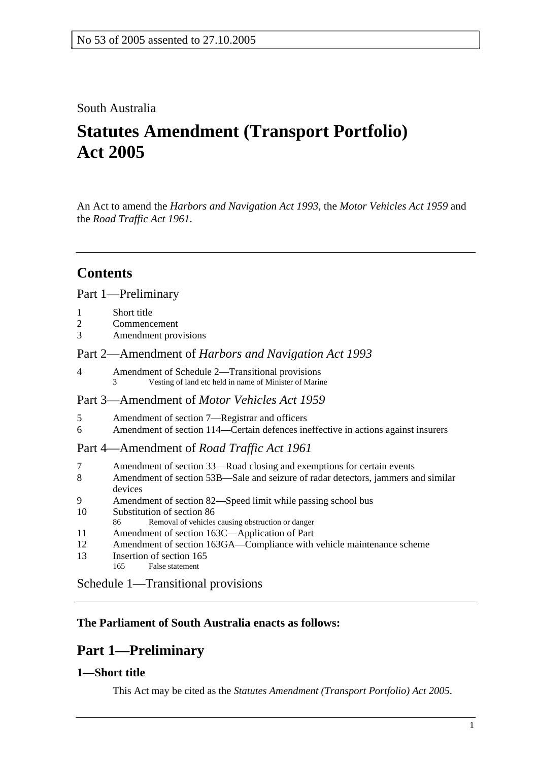### South Australia

# **Statutes Amendment (Transport Portfolio) Act 2005**

An Act to amend the *Harbors and Navigation Act 1993*, the *Motor Vehicles Act 1959* and the *Road Traffic Act 1961*.

## **Contents**

#### Part 1—Preliminary

- 2 Commencement
- 3 Amendment provisions

#### Part 2—Amendment of *Harbors and Navigation Act 1993*

4 Amendment of Schedule 2—Transitional provisions 3 Vesting of land etc held in name of Minister of Marine

#### Part 3—Amendment of *Motor Vehicles Act 1959*

- 5 Amendment of section 7—Registrar and officers
- 6 Amendment of section 114—Certain defences ineffective in actions against insurers

#### Part 4—Amendment of *Road Traffic Act 1961*

- 7 Amendment of section 33—Road closing and exemptions for certain events
- 8 Amendment of section 53B—Sale and seizure of radar detectors, jammers and similar devices
- 9 Amendment of section 82—Speed limit while passing school bus
- 10 Substitution of section 86
- 86 Removal of vehicles causing obstruction or danger
- 11 Amendment of section 163C—Application of Part
- 12 Amendment of section 163GA—Compliance with vehicle maintenance scheme
- 13 Insertion of section 165
- 165 False statement

Schedule 1—Transitional provisions

## **The Parliament of South Australia enacts as follows:**

## **Part 1—Preliminary**

## **1—Short title**

This Act may be cited as the *Statutes Amendment (Transport Portfolio) Act 2005*.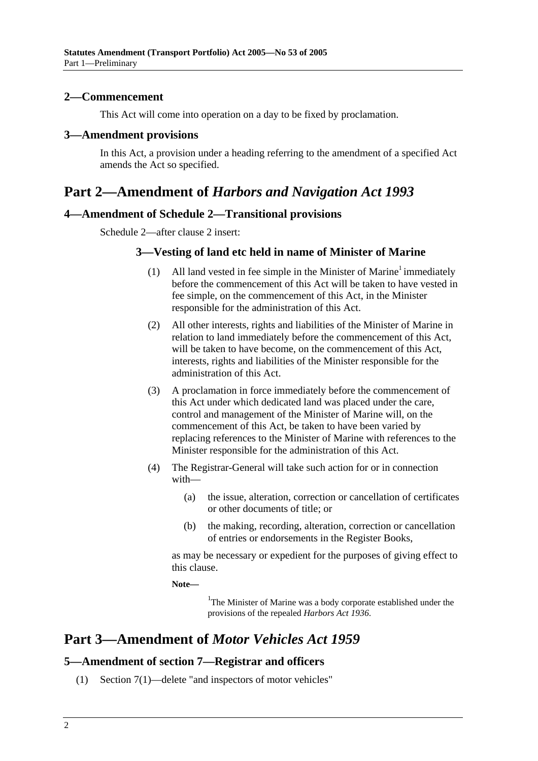#### **2—Commencement**

This Act will come into operation on a day to be fixed by proclamation.

#### **3—Amendment provisions**

In this Act, a provision under a heading referring to the amendment of a specified Act amends the Act so specified.

## **Part 2—Amendment of** *Harbors and Navigation Act 1993*

#### **4—Amendment of Schedule 2—Transitional provisions**

Schedule 2—after clause 2 insert:

#### **3—Vesting of land etc held in name of Minister of Marine**

- (1) All land vested in fee simple in the Minister of Marine<sup>1</sup> immediately before the commencement of this Act will be taken to have vested in fee simple, on the commencement of this Act, in the Minister responsible for the administration of this Act.
- (2) All other interests, rights and liabilities of the Minister of Marine in relation to land immediately before the commencement of this Act, will be taken to have become, on the commencement of this Act, interests, rights and liabilities of the Minister responsible for the administration of this Act.
- (3) A proclamation in force immediately before the commencement of this Act under which dedicated land was placed under the care, control and management of the Minister of Marine will, on the commencement of this Act, be taken to have been varied by replacing references to the Minister of Marine with references to the Minister responsible for the administration of this Act.
- (4) The Registrar-General will take such action for or in connection with—
	- (a) the issue, alteration, correction or cancellation of certificates or other documents of title; or
	- (b) the making, recording, alteration, correction or cancellation of entries or endorsements in the Register Books,

as may be necessary or expedient for the purposes of giving effect to this clause.

**Note—** 

<sup>1</sup>The Minister of Marine was a body corporate established under the provisions of the repealed *Harbors Act 1936*.

## **Part 3—Amendment of** *Motor Vehicles Act 1959*

#### **5—Amendment of section 7—Registrar and officers**

(1) Section 7(1)—delete "and inspectors of motor vehicles"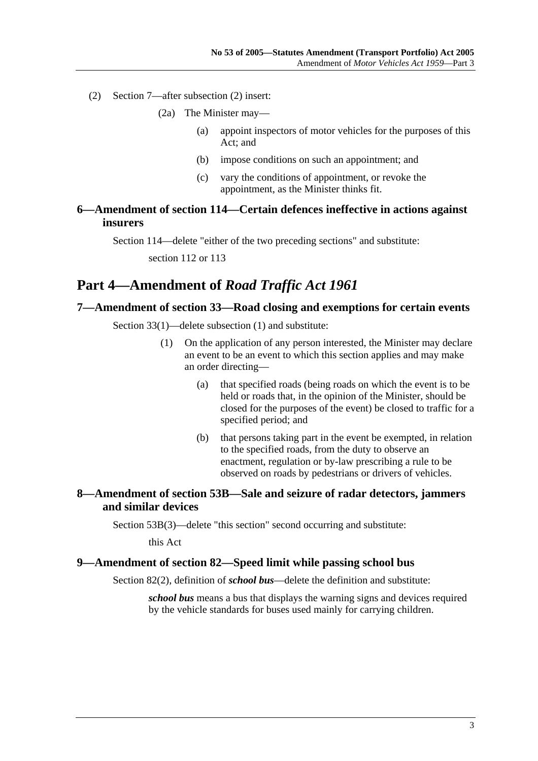- (2) Section 7—after subsection (2) insert:
	- (2a) The Minister may—
		- (a) appoint inspectors of motor vehicles for the purposes of this Act; and
		- (b) impose conditions on such an appointment; and
		- (c) vary the conditions of appointment, or revoke the appointment, as the Minister thinks fit.

#### **6—Amendment of section 114—Certain defences ineffective in actions against insurers**

Section 114—delete "either of the two preceding sections" and substitute:

section 112 or 113

## **Part 4—Amendment of** *Road Traffic Act 1961*

#### **7—Amendment of section 33—Road closing and exemptions for certain events**

Section 33(1)—delete subsection (1) and substitute:

- (1) On the application of any person interested, the Minister may declare an event to be an event to which this section applies and may make an order directing—
	- (a) that specified roads (being roads on which the event is to be held or roads that, in the opinion of the Minister, should be closed for the purposes of the event) be closed to traffic for a specified period; and
	- (b) that persons taking part in the event be exempted, in relation to the specified roads, from the duty to observe an enactment, regulation or by-law prescribing a rule to be observed on roads by pedestrians or drivers of vehicles.

#### **8—Amendment of section 53B—Sale and seizure of radar detectors, jammers and similar devices**

Section 53B(3)—delete "this section" second occurring and substitute:

this Act

#### **9—Amendment of section 82—Speed limit while passing school bus**

Section 82(2), definition of *school bus*—delete the definition and substitute:

*school bus* means a bus that displays the warning signs and devices required by the vehicle standards for buses used mainly for carrying children.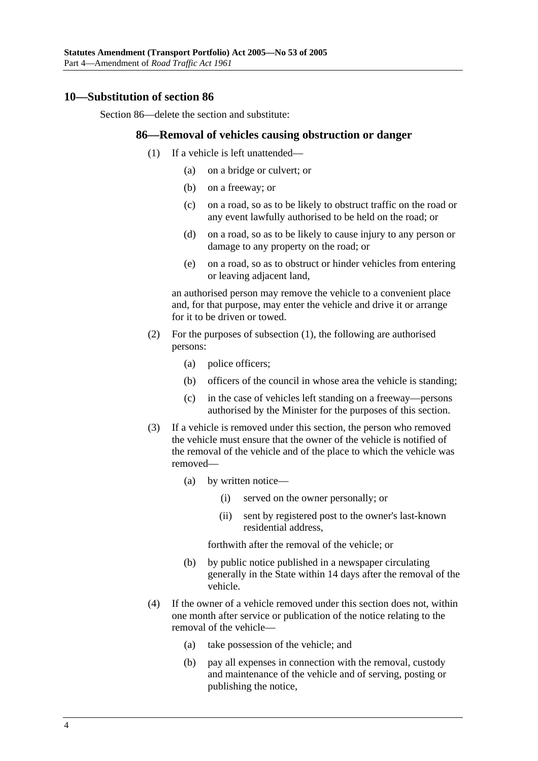#### **10—Substitution of section 86**

Section 86—delete the section and substitute:

#### **86—Removal of vehicles causing obstruction or danger**

- (1) If a vehicle is left unattended—
	- (a) on a bridge or culvert; or
	- (b) on a freeway; or
	- (c) on a road, so as to be likely to obstruct traffic on the road or any event lawfully authorised to be held on the road; or
	- (d) on a road, so as to be likely to cause injury to any person or damage to any property on the road; or
	- (e) on a road, so as to obstruct or hinder vehicles from entering or leaving adjacent land,

an authorised person may remove the vehicle to a convenient place and, for that purpose, may enter the vehicle and drive it or arrange for it to be driven or towed.

- (2) For the purposes of subsection (1), the following are authorised persons:
	- (a) police officers;
	- (b) officers of the council in whose area the vehicle is standing;
	- (c) in the case of vehicles left standing on a freeway—persons authorised by the Minister for the purposes of this section.
- (3) If a vehicle is removed under this section, the person who removed the vehicle must ensure that the owner of the vehicle is notified of the removal of the vehicle and of the place to which the vehicle was removed—
	- (a) by written notice—
		- (i) served on the owner personally; or
		- (ii) sent by registered post to the owner's last-known residential address,

forthwith after the removal of the vehicle; or

- (b) by public notice published in a newspaper circulating generally in the State within 14 days after the removal of the vehicle.
- (4) If the owner of a vehicle removed under this section does not, within one month after service or publication of the notice relating to the removal of the vehicle—
	- (a) take possession of the vehicle; and
	- (b) pay all expenses in connection with the removal, custody and maintenance of the vehicle and of serving, posting or publishing the notice,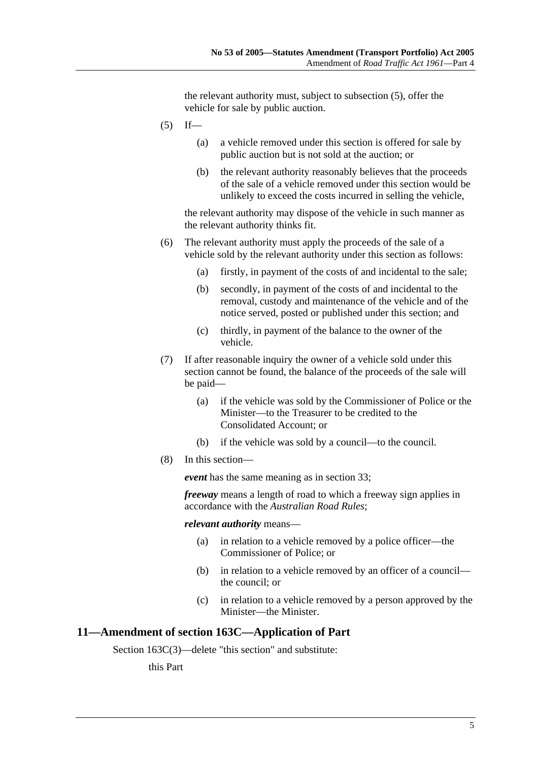the relevant authority must, subject to subsection (5), offer the vehicle for sale by public auction.

- $(5)$  If—
	- (a) a vehicle removed under this section is offered for sale by public auction but is not sold at the auction; or
	- (b) the relevant authority reasonably believes that the proceeds of the sale of a vehicle removed under this section would be unlikely to exceed the costs incurred in selling the vehicle,

the relevant authority may dispose of the vehicle in such manner as the relevant authority thinks fit.

- (6) The relevant authority must apply the proceeds of the sale of a vehicle sold by the relevant authority under this section as follows:
	- (a) firstly, in payment of the costs of and incidental to the sale;
	- (b) secondly, in payment of the costs of and incidental to the removal, custody and maintenance of the vehicle and of the notice served, posted or published under this section; and
	- (c) thirdly, in payment of the balance to the owner of the vehicle.
- (7) If after reasonable inquiry the owner of a vehicle sold under this section cannot be found, the balance of the proceeds of the sale will be paid—
	- (a) if the vehicle was sold by the Commissioner of Police or the Minister—to the Treasurer to be credited to the Consolidated Account; or
	- (b) if the vehicle was sold by a council—to the council.
- (8) In this section—

*event* has the same meaning as in section 33;

*freeway* means a length of road to which a freeway sign applies in accordance with the *Australian Road Rules*;

#### *relevant authority* means—

- (a) in relation to a vehicle removed by a police officer—the Commissioner of Police; or
- (b) in relation to a vehicle removed by an officer of a council the council; or
- (c) in relation to a vehicle removed by a person approved by the Minister—the Minister.

#### **11—Amendment of section 163C—Application of Part**

Section 163C(3)—delete "this section" and substitute:

this Part